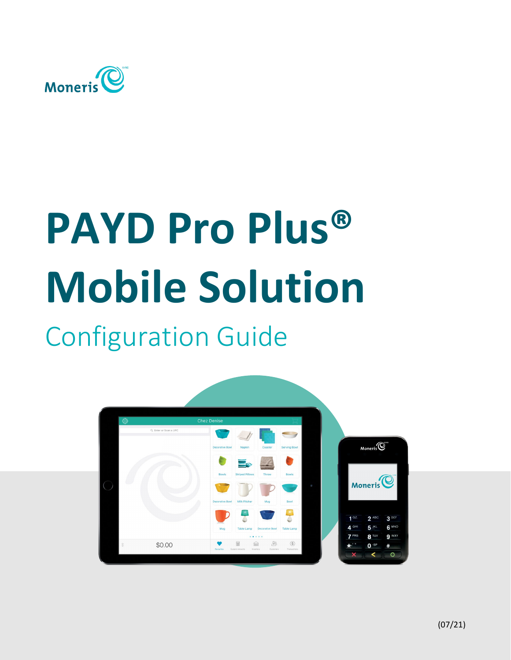

# **PAYD Pro Plus® Mobile Solution**

## Configuration Guide

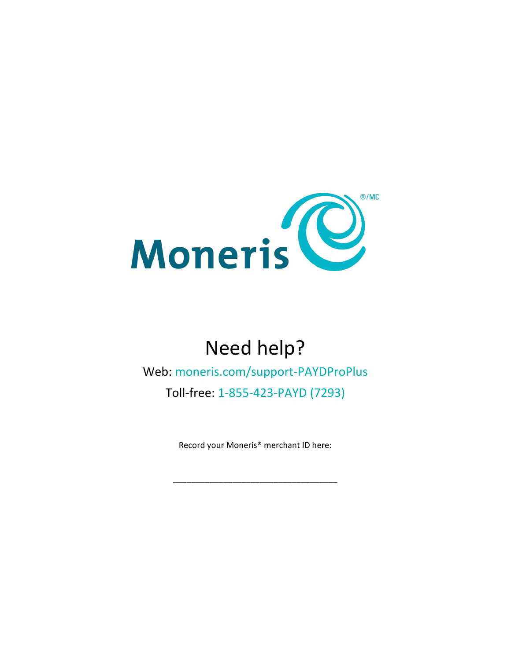

## Need help?

Web: [moneris.com/support-PAYDProPlus](https://www.moneris.com/en/support/devices/payd-pro-plus/)

Toll-free: 1-855-423-PAYD (7293)

Record your Moneris® merchant ID here:

\_\_\_\_\_\_\_\_\_\_\_\_\_\_\_\_\_\_\_\_\_\_\_\_\_\_\_\_\_\_\_\_\_\_\_\_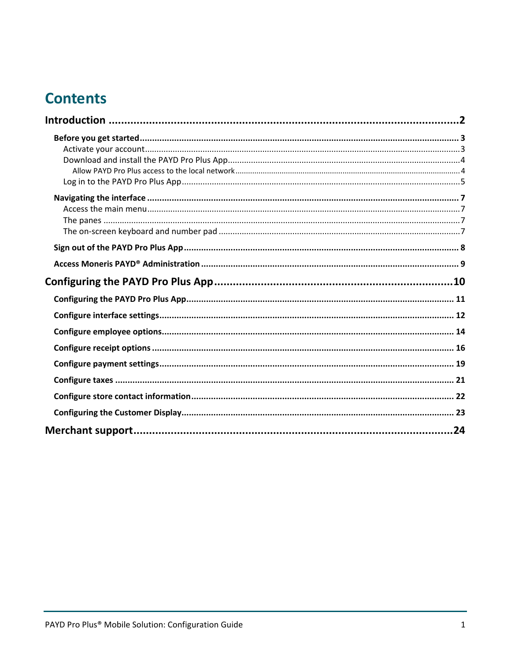## **Contents**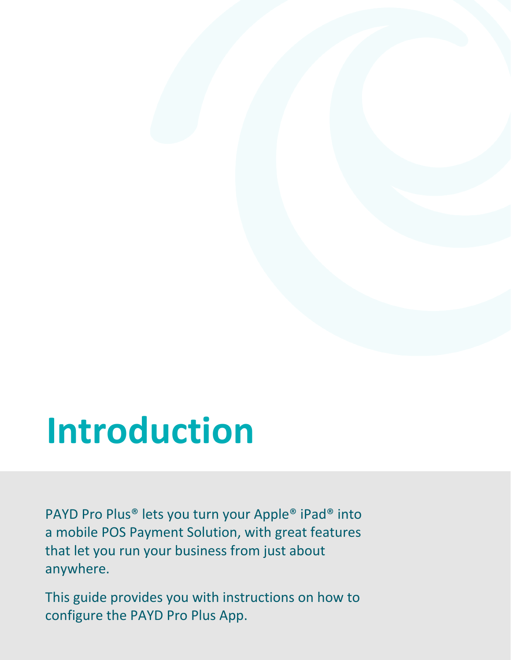## <span id="page-3-0"></span>**Introduction**

PAYD Pro Plus® lets you turn your Apple® iPad® into a mobile POS Payment Solution, with great features that let you run your business from just about anywhere.

configure the PAYD Pro Plus App. **Configuration: Configuration: Configuration:** Configuration: Configuration: Configuration: Configuration: Configuration: Configuration: Configuration: Configuration: Configuration: Configu This guide provides you with instructions on how to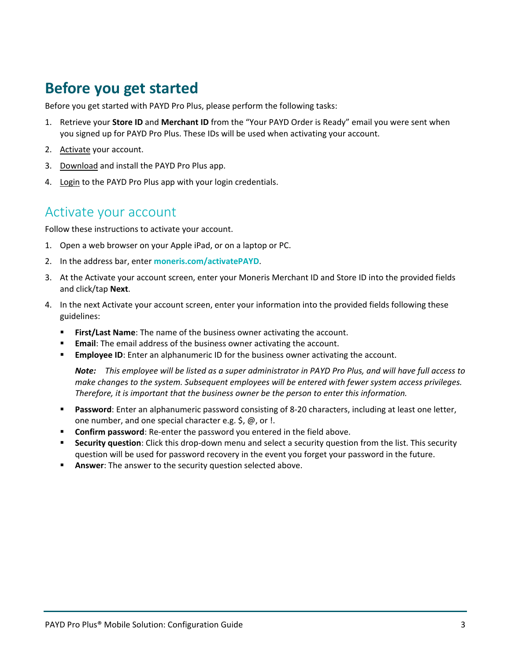## <span id="page-4-0"></span>**Before you get started**

Before you get started with PAYD Pro Plus, please perform the following tasks:

- 1. Retrieve your **Store ID** and **Merchant ID** from the "Your PAYD Order is Ready" email you were sent when you signed up for PAYD Pro Plus. These IDs will be used when activating your account.
- 2. [Activate](#page-4-1) your account.
- 3. [Download](#page-5-0) and install the PAYD Pro Plus app.
- <span id="page-4-1"></span>4. [Login](#page-5-1) to the PAYD Pro Plus app with your login credentials.

### Activate your account

Follow these instructions to activate your account.

- 1. Open a web browser on your Apple iPad, or on a laptop or PC.
- 2. In the address bar, enter **[moneris.com/activatePAYD](https://my.getpayd.com/ebox/merchant/activate/lang=EN)**.
- 3. At the Activate your account screen, enter your Moneris Merchant ID and Store ID into the provided fields and click/tap **Next**.
- 4. In the next Activate your account screen, enter your information into the provided fields following these guidelines:
	- **First/Last Name**: The name of the business owner activating the account.
	- **Email**: The email address of the business owner activating the account.
	- **Employee ID**: Enter an alphanumeric ID for the business owner activating the account.

*Note: This employee will be listed as a super administrator in PAYD Pro Plus, and will have full access to make changes to the system. Subsequent employees will be entered with fewer system access privileges. Therefore, it is important that the business owner be the person to enter this information.* 

- **Password**: Enter an alphanumeric password consisting of 8-20 characters, including at least one letter, one number, and one special character e.g. \$, @, or !.
- **Confirm password**: Re-enter the password you entered in the field above.
- **Security question**: Click this drop-down menu and select a security question from the list. This security question will be used for password recovery in the event you forget your password in the future.
- **Answer:** The answer to the security question selected above.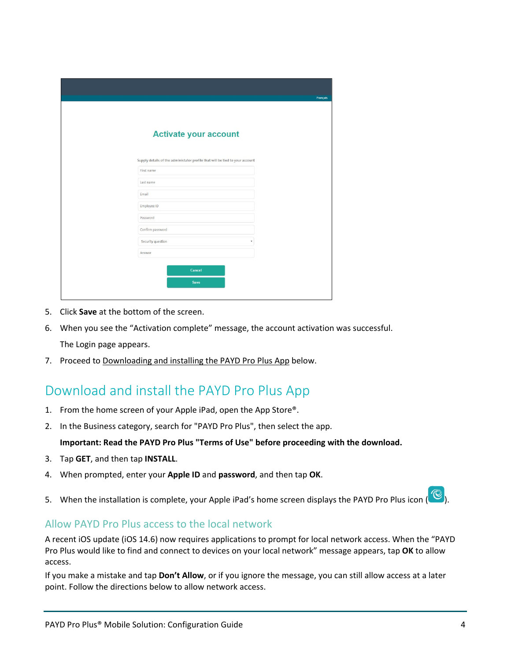| <b>Activate your account</b>                                                 |  |
|------------------------------------------------------------------------------|--|
| Supply details of the administator profile that will be tied to your account |  |
| First name                                                                   |  |
| Last name                                                                    |  |
| Email                                                                        |  |
| Employee ID                                                                  |  |
| Password                                                                     |  |
| Confirm password                                                             |  |
| Security question                                                            |  |
| Answer                                                                       |  |
|                                                                              |  |
| Cancel                                                                       |  |

- 5. Click **Save** at the bottom of the screen.
- 6. When you see the "Activation complete" message, the account activation was successful. The Login page appears.
- <span id="page-5-0"></span>7. Proceed to [Downloading and installing the PAYD Pro Plus App](#page-5-0) below.

### Download and install the PAYD Pro Plus App

- 1. From the home screen of your Apple iPad, open the App Store®.
- 2. In the Business category, search for "PAYD Pro Plus", then select the app.

#### **Important: Read the PAYD Pro Plus "Terms of Use" before proceeding with the download.**

- 3. Tap **GET**, and then tap **INSTALL**.
- 4. When prompted, enter your **Apple ID** and **password**, and then tap **OK**.
- 5. When the installation is complete, your Apple iPad's home screen displays the PAYD Pro Plus icon  $\overline{(\mathbb{C})}$ .

#### <span id="page-5-1"></span>Allow PAYD Pro Plus access to the local network

A recent iOS update (iOS 14.6) now requires applications to prompt for local network access. When the "PAYD Pro Plus would like to find and connect to devices on your local network" message appears, tap **OK** to allow access.

If you make a mistake and tap **Don't Allow**, or if you ignore the message, you can still allow access at a later point. Follow the directions below to allow network access.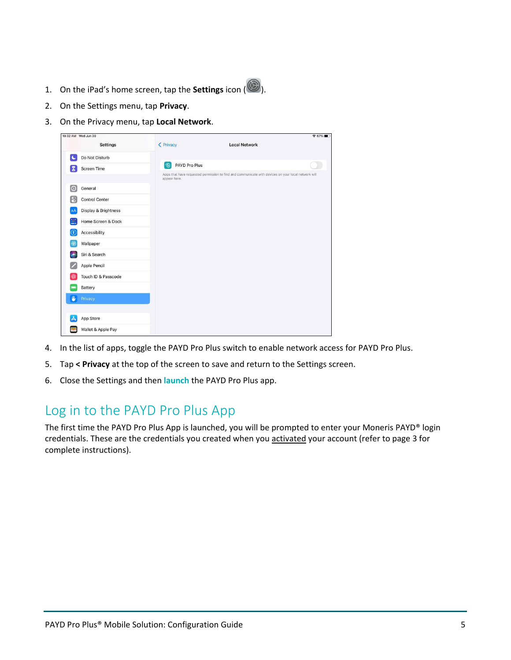- 1. On the iPad's home screen, tap the **Settings** icon ( $\circled{2}$ ).
- 2. On the Settings menu, tap **Privacy**.
- 3. On the Privacy menu, tap **Local Network**.



- 4. In the list of apps, toggle the PAYD Pro Plus switch to enable network access for PAYD Pro Plus.
- 5. Tap **< Privacy** at the top of the screen to save and return to the Settings screen.
- <span id="page-6-0"></span>6. Close the Settings and then **[launch](#page-6-0)** the PAYD Pro Plus app.

## Log in to the PAYD Pro Plus App

The first time the PAYD Pro Plus App is launched, you will be prompted to enter your Moneris PAYD® login credentials. These are the credentials you created when yo[u activated](#page-4-1) your account (refer to page [3](#page-4-1) for complete instructions).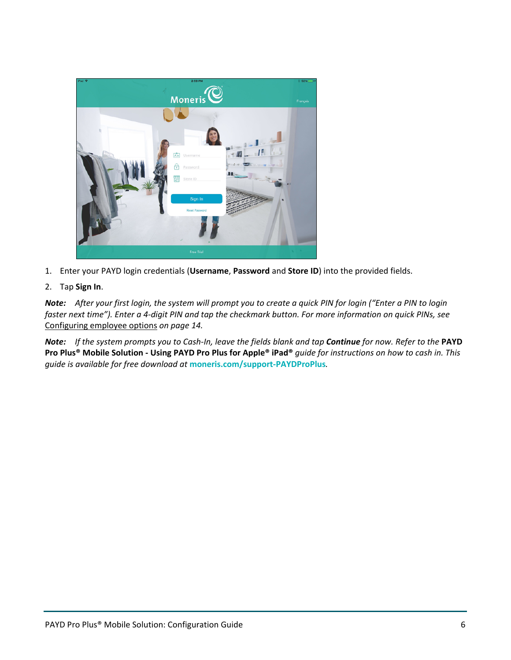

- 1. Enter your PAYD login credentials (**Username**, **Password** and **Store ID**) into the provided fields.
- 2. Tap **Sign In**.

*Note: After your first login, the system will prompt you to create a quick PIN for login ("Enter a PIN to login faster next time"). Enter a 4-digit PIN and tap the checkmark button. For more information on quick PINs, see*  Configuring employee options *on page [14.](#page-15-0)* 

*Note: If the system prompts you to Cash-In, leave the fields blank and tap Continue for now. Refer to the* **PAYD Pro Plus® Mobile Solution - Using PAYD Pro Plus for Apple® iPad®** *guide for instructions on how to cash in. This guide is available for free download at* **[moneris.com/support-PAYDProPlus](https://www.moneris.com/en/Support/Devices/PAYD-Pro-Plus)***.*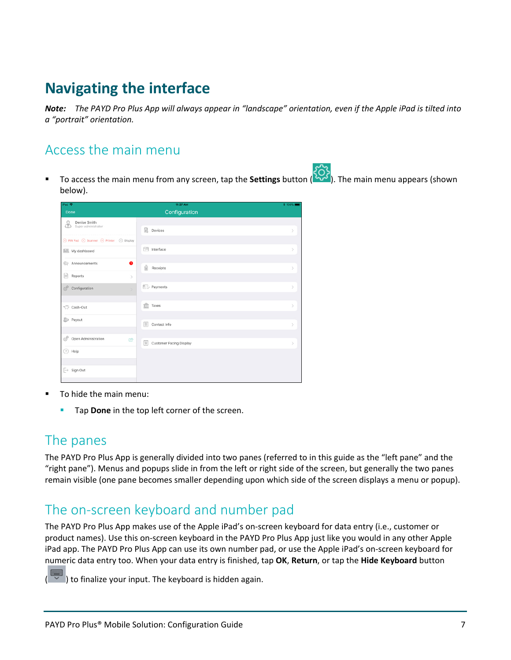## <span id="page-8-0"></span>**Navigating the interface**

*Note: The PAYD Pro Plus App will always appear in "landscape" orientation, even if the Apple iPad is tilted into a "portrait" orientation.* 

### <span id="page-8-1"></span>Access the main menu

 To access the main menu from any screen, tap the **Settings** button ( ). The main menu appears (shown below).

| iPad <b>全</b>                                                           | 11:37 AM                                         | <b>* 100%</b> |
|-------------------------------------------------------------------------|--------------------------------------------------|---------------|
| Done                                                                    | Configuration                                    |               |
| Denise Smith<br>\$                                                      |                                                  |               |
| Super administrator                                                     | <b>■</b> Devices                                 | $\mathcal{P}$ |
| $\otimes$ PIN Pad $\otimes$ Scanner $\otimes$ Printer $\otimes$ Display |                                                  |               |
| My dashboard                                                            | Interface                                        | $\mathcal{L}$ |
| Announcements<br>$\bullet$                                              |                                                  |               |
|                                                                         | €<br>Receipts                                    | $\mathcal{P}$ |
| B<br>Reports<br>$\,$                                                    |                                                  |               |
| ď<br>Configuration<br>$\mathbf{y}$                                      | <b>E</b> . Payments                              | $\mathcal{P}$ |
|                                                                         |                                                  |               |
| Cash-Out                                                                | fft<br>Taxes                                     | $\mathcal{P}$ |
| <b>S</b> Payout                                                         |                                                  |               |
|                                                                         | $^{\circledR}$<br>Contact Info                   | $\mathcal{P}$ |
| É<br>Open Administration<br>呤                                           |                                                  |               |
| $(?)$ Help                                                              | $^{\circledR}$<br><b>Customer Facing Display</b> | $\mathcal{P}$ |
|                                                                         |                                                  |               |
| $\overline{\rightarrow}$ Sign Out                                       |                                                  |               |
|                                                                         |                                                  |               |

- To hide the main menu:
	- **Tap Done** in the top left corner of the screen.

### <span id="page-8-2"></span>The panes

The PAYD Pro Plus App is generally divided into two panes (referred to in this guide as the "left pane" and the "right pane"). Menus and popups slide in from the left or right side of the screen, but generally the two panes remain visible (one pane becomes smaller depending upon which side of the screen displays a menu or popup).

## <span id="page-8-3"></span>The on-screen keyboard and number pad

The PAYD Pro Plus App makes use of the Apple iPad's on-screen keyboard for data entry (i.e., customer or product names). Use this on-screen keyboard in the PAYD Pro Plus App just like you would in any other Apple iPad app. The PAYD Pro Plus App can use its own number pad, or use the Apple iPad's on-screen keyboard for numeric data entry too. When your data entry is finished, tap **OK**, **Return**, or tap the **Hide Keyboard** button

( ) to finalize your input. The keyboard is hidden again.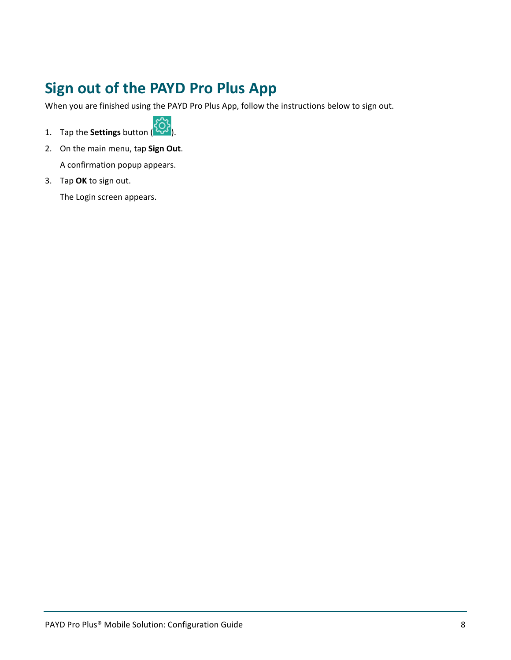## <span id="page-9-0"></span>**Sign out of the PAYD Pro Plus App**

When you are finished using the PAYD Pro Plus App, follow the instructions below to sign out.



- 2. On the main menu, tap **Sign Out**. A confirmation popup appears.
- 3. Tap **OK** to sign out.

The Login screen appears.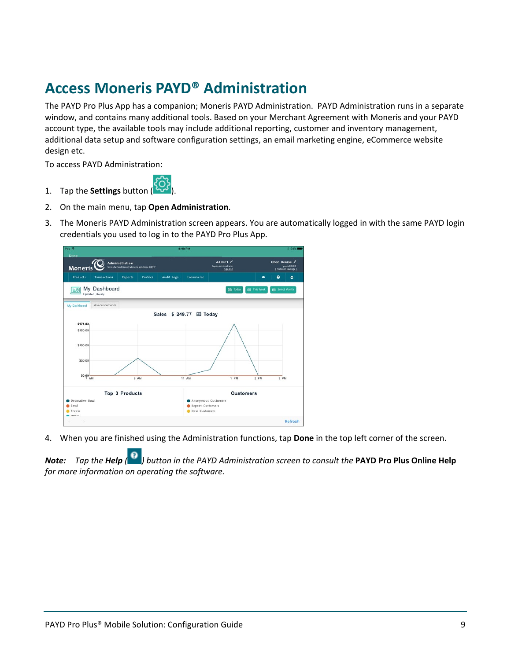## <span id="page-10-0"></span>**Access Moneris PAYD® Administration**

The PAYD Pro Plus App has a companion; Moneris PAYD Administration. PAYD Administration runs in a separate window, and contains many additional tools. Based on your Merchant Agreement with Moneris and your PAYD account type, the available tools may include additional reporting, customer and inventory management, additional data setup and software configuration settings, an email marketing engine, eCommerce website design etc.

To access PAYD Administration:



- 2. On the main menu, tap **Open Administration**.
- 3. The Moneris PAYD Administration screen appears. You are automatically logged in with the same PAYD login credentials you used to log in to the PAYD Pro Plus App.



4. When you are finished using the Administration functions, tap **Done** in the top left corner of the screen.

*Note: Tap the Help ( ) button in the PAYD Administration screen to consult the* **PAYD Pro Plus Online Help** *for more information on operating the software.*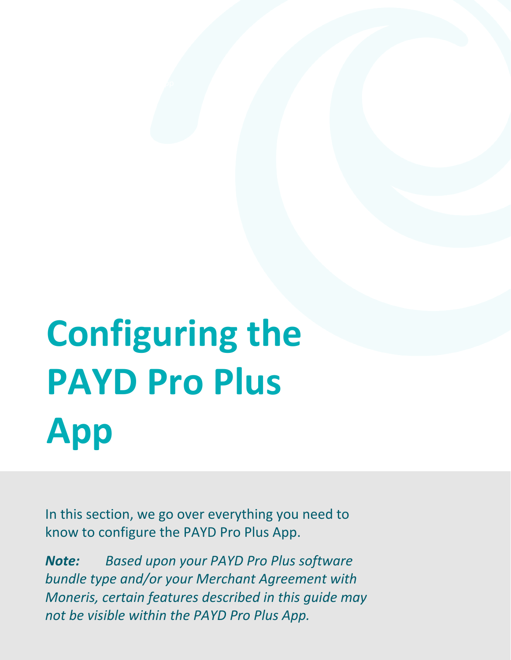# <span id="page-11-0"></span>**Configuring the PAYD Pro Plus App**

In this section, we go over everything you need to know to configure the PAYD Pro Plus App.

not be visible within the PAYD Pro Plus App. *Note: Based upon your PAYD Pro Plus software bundle type and/or your Merchant Agreement with Moneris, certain features described in this guide may*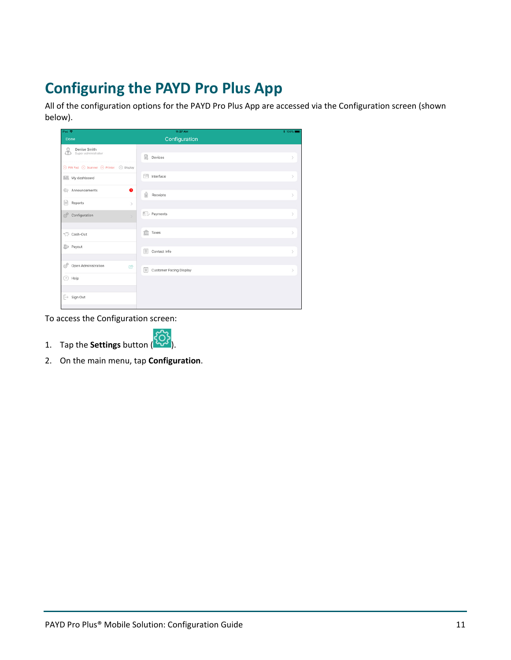## <span id="page-12-0"></span>**Configuring the PAYD Pro Plus App**

All of the configuration options for the PAYD Pro Plus App are accessed via the Configuration screen (shown below).

| iPad <b>全</b>                                                           | 11:37 AM                                       | <b>* 100%</b> |
|-------------------------------------------------------------------------|------------------------------------------------|---------------|
| Done                                                                    | Configuration                                  |               |
| Denise Smith<br>8<br>Super administrator                                |                                                |               |
|                                                                         | <b>■</b> Devices                               |               |
| $\otimes$ PIN Pad $\otimes$ Scanner $\otimes$ Printer $\otimes$ Display |                                                |               |
| My dashboard                                                            | T Interface                                    | $\mathcal{L}$ |
| Announcements                                                           | ●                                              |               |
| ₿<br>Reports                                                            | 畣<br>Receipts                                  | $\mathcal{P}$ |
|                                                                         | $\,$                                           |               |
| 6<br>Configuration                                                      | Payments<br>$\mathbf{y}$                       | $\mathcal{P}$ |
|                                                                         |                                                |               |
| Cash-Out                                                                | îît<br>Taxes                                   | $\mathcal{P}$ |
| <b>S</b> Payout                                                         |                                                |               |
|                                                                         | $^{\circledR}$<br>Contact Info                 | $\mathcal{P}$ |
| $\circ^p$<br>Open Administration                                        | 呤<br>$\circledcirc$<br>Customer Facing Display | $\mathcal{P}$ |
| 7 Help                                                                  |                                                |               |
|                                                                         |                                                |               |
| $\overline{\rightarrow}$ Sign Out                                       |                                                |               |
|                                                                         |                                                |               |

To access the Configuration screen:



2. On the main menu, tap **Configuration**.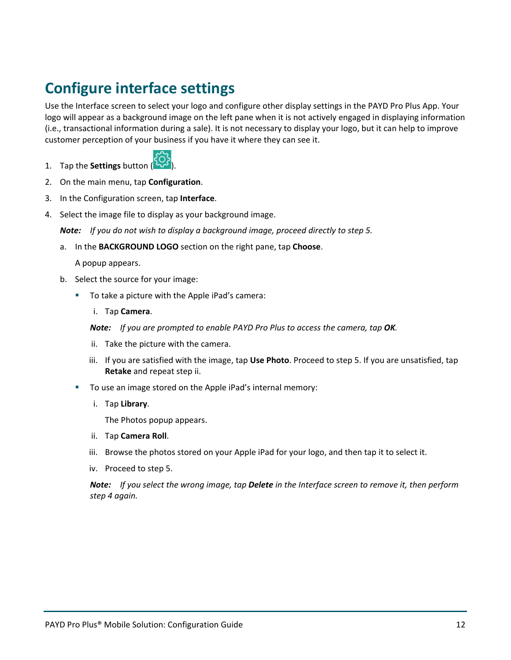## <span id="page-13-0"></span>**Configure interface settings**

Use the Interface screen to select your logo and configure other display settings in the PAYD Pro Plus App. Your logo will appear as a background image on the left pane when it is not actively engaged in displaying information (i.e., transactional information during a sale). It is not necessary to display your logo, but it can help to improve customer perception of your business if you have it where they can see it.



- 2. On the main menu, tap **Configuration**.
- 3. In the Configuration screen, tap **Interface**.
- 4. Select the image file to display as your background image.

*Note: If you do not wish to display a background image, proceed directly to step 5.* 

a. In the **BACKGROUND LOGO** section on the right pane, tap **Choose**.

A popup appears.

- b. Select the source for your image:
	- To take a picture with the Apple iPad's camera:
		- i. Tap **Camera**.

*Note: If you are prompted to enable PAYD Pro Plus to access the camera, tap OK.* 

- ii. Take the picture with the camera.
- iii. If you are satisfied with the image, tap **Use Photo**. Proceed to step 5. If you are unsatisfied, tap **Retake** and repeat step ii.
- To use an image stored on the Apple iPad's internal memory:
	- i. Tap **Library**.

The Photos popup appears.

- ii. Tap **Camera Roll**.
- iii. Browse the photos stored on your Apple iPad for your logo, and then tap it to select it.
- iv. Proceed to step 5.

*Note: If you select the wrong image, tap Delete in the Interface screen to remove it, then perform step 4 again.*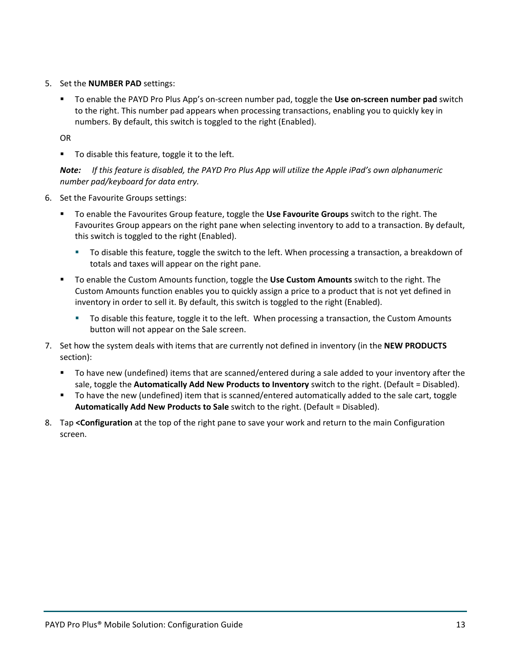- 5. Set the **NUMBER PAD** settings:
	- To enable the PAYD Pro Plus App's on-screen number pad, toggle the **Use on-screen number pad** switch to the right. This number pad appears when processing transactions, enabling you to quickly key in numbers. By default, this switch is toggled to the right (Enabled).

OR

To disable this feature, toggle it to the left.

*Note: If this feature is disabled, the PAYD Pro Plus App will utilize the Apple iPad's own alphanumeric number pad/keyboard for data entry.*

- 6. Set the Favourite Groups settings:
	- To enable the Favourites Group feature, toggle the **Use Favourite Groups** switch to the right. The Favourites Group appears on the right pane when selecting inventory to add to a transaction. By default, this switch is toggled to the right (Enabled).
		- To disable this feature, toggle the switch to the left. When processing a transaction, a breakdown of totals and taxes will appear on the right pane.
	- To enable the Custom Amounts function, toggle the **Use Custom Amounts** switch to the right. The Custom Amounts function enables you to quickly assign a price to a product that is not yet defined in inventory in order to sell it. By default, this switch is toggled to the right (Enabled).
		- To disable this feature, toggle it to the left. When processing a transaction, the Custom Amounts button will not appear on the Sale screen.
- 7. Set how the system deals with items that are currently not defined in inventory (in the **NEW PRODUCTS** section):
	- To have new (undefined) items that are scanned/entered during a sale added to your inventory after the sale, toggle the **Automatically Add New Products to Inventory** switch to the right. (Default = Disabled).
	- To have the new (undefined) item that is scanned/entered automatically added to the sale cart, toggle **Automatically Add New Products to Sale** switch to the right. (Default = Disabled).
- 8. Tap **<Configuration** at the top of the right pane to save your work and return to the main Configuration screen.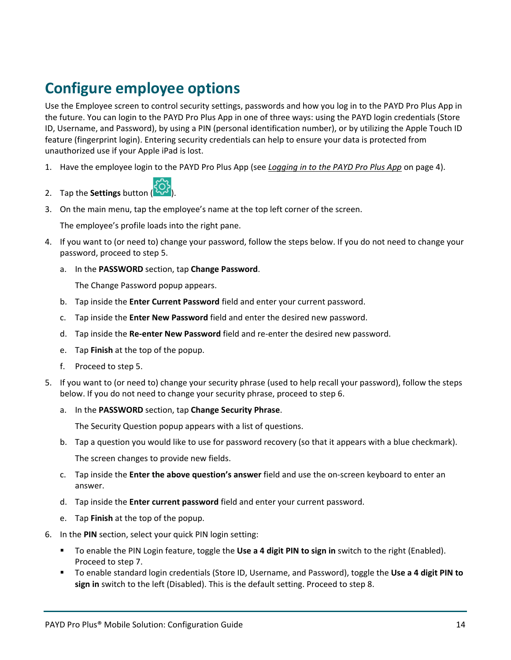## <span id="page-15-0"></span>**Configure employee options**

Use the Employee screen to control security settings, passwords and how you log in to the PAYD Pro Plus App in the future. You can login to the PAYD Pro Plus App in one of three ways: using the PAYD login credentials (Store ID, Username, and Password), by using a PIN (personal identification number), or by utilizing the Apple Touch ID feature (fingerprint login). Entering security credentials can help to ensure your data is protected from unauthorized use if your Apple iPad is lost.

1. Have the employee login to the PAYD Pro Plus App (see *Logging in to the PAYD Pro Plus App* on page [4\)](#page-5-1).



3. On the main menu, tap the employee's name at the top left corner of the screen.

The employee's profile loads into the right pane.

- 4. If you want to (or need to) change your password, follow the steps below. If you do not need to change your password, proceed to step 5.
	- a. In the **PASSWORD** section, tap **Change Password**.

The Change Password popup appears.

- b. Tap inside the **Enter Current Password** field and enter your current password.
- c. Tap inside the **Enter New Password** field and enter the desired new password.
- d. Tap inside the **Re-enter New Password** field and re-enter the desired new password.
- e. Tap **Finish** at the top of the popup.
- f. Proceed to step 5.
- 5. If you want to (or need to) change your security phrase (used to help recall your password), follow the steps below. If you do not need to change your security phrase, proceed to step 6.
	- a. In the **PASSWORD** section, tap **Change Security Phrase**.

The Security Question popup appears with a list of questions.

- b. Tap a question you would like to use for password recovery (so that it appears with a blue checkmark). The screen changes to provide new fields.
- c. Tap inside the **Enter the above question's answer** field and use the on-screen keyboard to enter an answer.
- d. Tap inside the **Enter current password** field and enter your current password.
- e. Tap **Finish** at the top of the popup.
- 6. In the **PIN** section, select your quick PIN login setting:
	- To enable the PIN Login feature, toggle the **Use a 4 digit PIN to sign in** switch to the right (Enabled). Proceed to step 7.
	- To enable standard login credentials (Store ID, Username, and Password), toggle the **Use a 4 digit PIN to sign in** switch to the left (Disabled). This is the default setting. Proceed to step 8.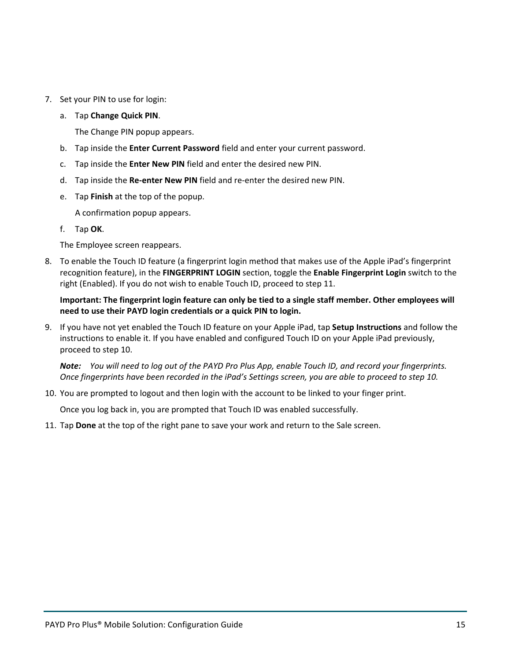- 7. Set your PIN to use for login:
	- a. Tap **Change Quick PIN**.

The Change PIN popup appears.

- b. Tap inside the **Enter Current Password** field and enter your current password.
- c. Tap inside the **Enter New PIN** field and enter the desired new PIN.
- d. Tap inside the **Re-enter New PIN** field and re-enter the desired new PIN.
- e. Tap **Finish** at the top of the popup.

A confirmation popup appears.

f. Tap **OK**.

The Employee screen reappears.

8. To enable the Touch ID feature (a fingerprint login method that makes use of the Apple iPad's fingerprint recognition feature), in the **FINGERPRINT LOGIN** section, toggle the **Enable Fingerprint Login** switch to the right (Enabled). If you do not wish to enable Touch ID, proceed to step 11.

#### **Important: The fingerprint login feature can only be tied to a single staff member. Other employees will need to use their PAYD login credentials or a quick PIN to login.**

9. If you have not yet enabled the Touch ID feature on your Apple iPad, tap **Setup Instructions** and follow the instructions to enable it. If you have enabled and configured Touch ID on your Apple iPad previously, proceed to step 10.

*Note: You will need to log out of the PAYD Pro Plus App, enable Touch ID, and record your fingerprints. Once fingerprints have been recorded in the iPad's Settings screen, you are able to proceed to step 10.* 

10. You are prompted to logout and then login with the account to be linked to your finger print.

Once you log back in, you are prompted that Touch ID was enabled successfully.

11. Tap **Done** at the top of the right pane to save your work and return to the Sale screen.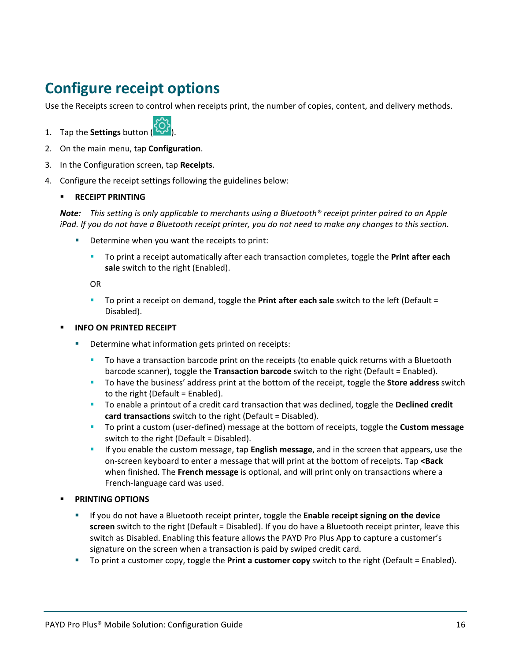## <span id="page-17-0"></span>**Configure receipt options**

Use the Receipts screen to control when receipts print, the number of copies, content, and delivery methods.



- 2. On the main menu, tap **Configuration**.
- 3. In the Configuration screen, tap **Receipts**.
- 4. Configure the receipt settings following the guidelines below:

#### **RECEIPT PRINTING**

*Note: This setting is only applicable to merchants using a Bluetooth® receipt printer paired to an Apple iPad. If you do not have a Bluetooth receipt printer, you do not need to make any changes to this section.*

- Determine when you want the receipts to print:
	- To print a receipt automatically after each transaction completes, toggle the **Print after each sale** switch to the right (Enabled).

OR

 To print a receipt on demand, toggle the **Print after each sale** switch to the left (Default = Disabled).

#### **INFO ON PRINTED RECEIPT**

- Determine what information gets printed on receipts:
	- To have a transaction barcode print on the receipts (to enable quick returns with a Bluetooth barcode scanner), toggle the **Transaction barcode** switch to the right (Default = Enabled).
	- To have the business' address print at the bottom of the receipt, toggle the **Store address** switch to the right (Default = Enabled).
	- To enable a printout of a credit card transaction that was declined, toggle the **Declined credit card transactions** switch to the right (Default = Disabled).
	- To print a custom (user-defined) message at the bottom of receipts, toggle the **Custom message** switch to the right (Default = Disabled).
	- If you enable the custom message, tap **English message**, and in the screen that appears, use the on-screen keyboard to enter a message that will print at the bottom of receipts. Tap **<Back** when finished. The **French message** is optional, and will print only on transactions where a French-language card was used.

#### **PRINTING OPTIONS**

- If you do not have a Bluetooth receipt printer, toggle the **Enable receipt signing on the device screen** switch to the right (Default = Disabled). If you do have a Bluetooth receipt printer, leave this switch as Disabled. Enabling this feature allows the PAYD Pro Plus App to capture a customer's signature on the screen when a transaction is paid by swiped credit card.
- To print a customer copy, toggle the **Print a customer copy** switch to the right (Default = Enabled).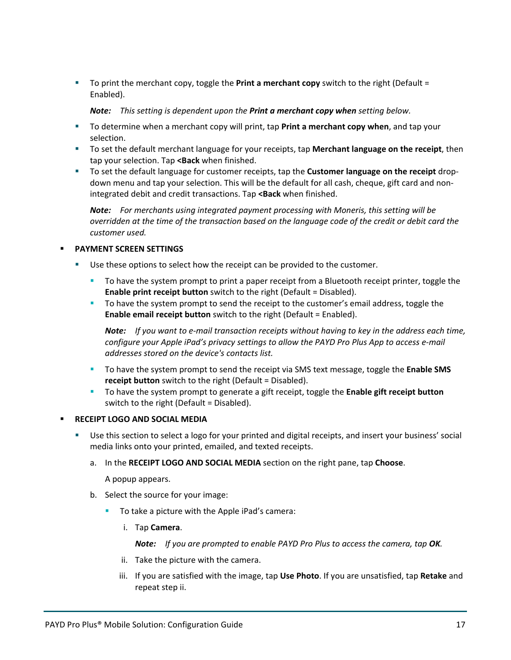To print the merchant copy, toggle the **Print a merchant copy** switch to the right (Default = Enabled).

*Note: This setting is dependent upon the Print a merchant copy when setting below.* 

- To determine when a merchant copy will print, tap **Print a merchant copy when**, and tap your selection.
- To set the default merchant language for your receipts, tap **Merchant language on the receipt**, then tap your selection. Tap **<Back** when finished.
- To set the default language for customer receipts, tap the **Customer language on the receipt** dropdown menu and tap your selection. This will be the default for all cash, cheque, gift card and nonintegrated debit and credit transactions. Tap **<Back** when finished.

*Note: For merchants using integrated payment processing with Moneris, this setting will be overridden at the time of the transaction based on the language code of the credit or debit card the customer used.* 

#### **PAYMENT SCREEN SETTINGS**

- Use these options to select how the receipt can be provided to the customer.
	- To have the system prompt to print a paper receipt from a Bluetooth receipt printer, toggle the **Enable print receipt button** switch to the right (Default = Disabled).
	- To have the system prompt to send the receipt to the customer's email address, toggle the **Enable email receipt button** switch to the right (Default = Enabled).

*Note: If you want to e-mail transaction receipts without having to key in the address each time, configure your Apple iPad's privacy settings to allow the PAYD Pro Plus App to access e-mail addresses stored on the device's contacts list.*

- To have the system prompt to send the receipt via SMS text message, toggle the **Enable SMS receipt button** switch to the right (Default = Disabled).
- To have the system prompt to generate a gift receipt, toggle the **Enable gift receipt button** switch to the right (Default = Disabled).
- **RECEIPT LOGO AND SOCIAL MEDIA**
	- Use this section to select a logo for your printed and digital receipts, and insert your business' social media links onto your printed, emailed, and texted receipts.
		- a. In the **RECEIPT LOGO AND SOCIAL MEDIA** section on the right pane, tap **Choose**.

A popup appears.

- b. Select the source for your image:
	- **To take a picture with the Apple iPad's camera:** 
		- i. Tap **Camera**.

**Note:** If you are prompted to enable PAYD Pro Plus to access the camera, tap OK.

- ii. Take the picture with the camera.
- iii. If you are satisfied with the image, tap **Use Photo**. If you are unsatisfied, tap **Retake** and repeat step ii.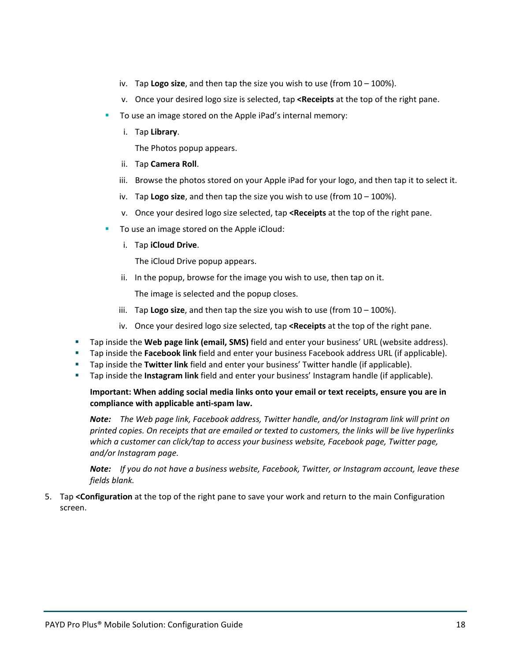- iv. Tap **Logo size**, and then tap the size you wish to use (from 10 100%).
- v. Once your desired logo size is selected, tap **<Receipts** at the top of the right pane.
- To use an image stored on the Apple iPad's internal memory:
	- i. Tap **Library**.
		- The Photos popup appears.
	- ii. Tap **Camera Roll**.
	- iii. Browse the photos stored on your Apple iPad for your logo, and then tap it to select it.
	- iv. Tap **Logo size**, and then tap the size you wish to use (from 10 100%).
	- v. Once your desired logo size selected, tap **<Receipts** at the top of the right pane.
- To use an image stored on the Apple iCloud:
	- i. Tap **iCloud Drive**.

The iCloud Drive popup appears.

ii. In the popup, browse for the image you wish to use, then tap on it.

The image is selected and the popup closes.

- iii. Tap **Logo size**, and then tap the size you wish to use (from 10 100%).
- iv. Once your desired logo size selected, tap **<Receipts** at the top of the right pane.
- Tap inside the **Web page link (email, SMS)** field and enter your business' URL (website address).
- Tap inside the **Facebook link** field and enter your business Facebook address URL (if applicable).
- Tap inside the **Twitter link** field and enter your business' Twitter handle (if applicable).
- Tap inside the **Instagram link** field and enter your business' Instagram handle (if applicable).

#### **Important: When adding social media links onto your email or text receipts, ensure you are in compliance with applicable anti-spam law.**

*Note: The Web page link, Facebook address, Twitter handle, and/or Instagram link will print on printed copies. On receipts that are emailed or texted to customers, the links will be live hyperlinks which a customer can click/tap to access your business website, Facebook page, Twitter page, and/or Instagram page.* 

*Note: If you do not have a business website, Facebook, Twitter, or Instagram account, leave these fields blank.* 

5. Tap **<Configuration** at the top of the right pane to save your work and return to the main Configuration screen.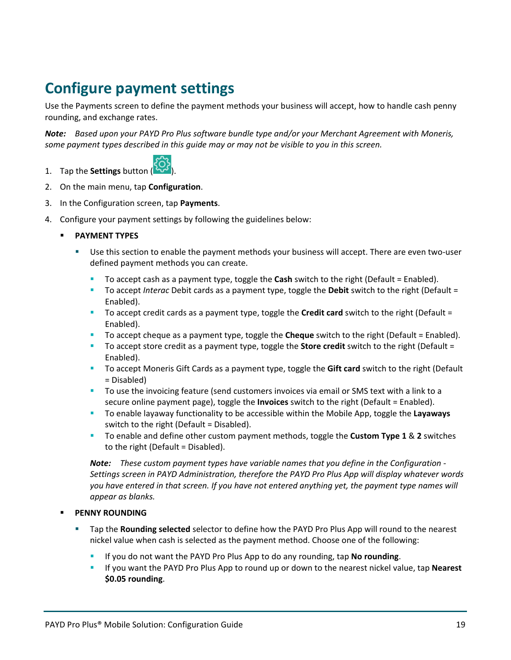## <span id="page-20-0"></span>**Configure payment settings**

Use the Payments screen to define the payment methods your business will accept, how to handle cash penny rounding, and exchange rates.

*Note: Based upon your PAYD Pro Plus software bundle type and/or your Merchant Agreement with Moneris, some payment types described in this guide may or may not be visible to you in this screen.*



- 2. On the main menu, tap **Configuration**.
- 3. In the Configuration screen, tap **Payments**.
- 4. Configure your payment settings by following the guidelines below:
	- **PAYMENT TYPES**
		- Use this section to enable the payment methods your business will accept. There are even two-user defined payment methods you can create.
			- To accept cash as a payment type, toggle the **Cash** switch to the right (Default = Enabled).
			- To accept *Interac* Debit cards as a payment type, toggle the **Debit** switch to the right (Default = Enabled).
			- To accept credit cards as a payment type, toggle the **Credit card** switch to the right (Default = Enabled).
			- To accept cheque as a payment type, toggle the **Cheque** switch to the right (Default = Enabled).
			- To accept store credit as a payment type, toggle the **Store credit** switch to the right (Default = Enabled).
			- To accept Moneris Gift Cards as a payment type, toggle the **Gift card** switch to the right (Default = Disabled)
			- To use the invoicing feature (send customers invoices via email or SMS text with a link to a secure online payment page), toggle the **Invoices** switch to the right (Default = Enabled).
			- To enable layaway functionality to be accessible within the Mobile App, toggle the **Layaways** switch to the right (Default = Disabled).
			- To enable and define other custom payment methods, toggle the **Custom Type 1** & **2** switches to the right (Default = Disabled).

*Note: These custom payment types have variable names that you define in the Configuration - Settings screen in PAYD Administration, therefore the PAYD Pro Plus App will display whatever words you have entered in that screen. If you have not entered anything yet, the payment type names will appear as blanks.* 

#### **PENNY ROUNDING**

- Tap the **Rounding selected** selector to define how the PAYD Pro Plus App will round to the nearest nickel value when cash is selected as the payment method. Choose one of the following:
	- If you do not want the PAYD Pro Plus App to do any rounding, tap **No rounding**.
	- If you want the PAYD Pro Plus App to round up or down to the nearest nickel value, tap **Nearest \$0.05 rounding**.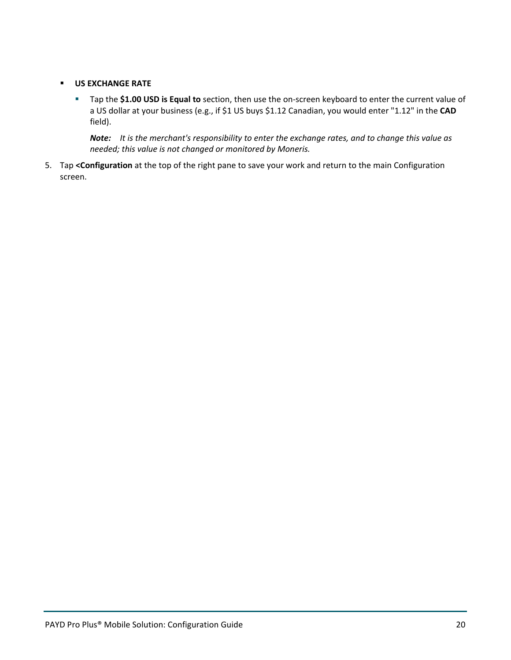#### **US EXCHANGE RATE**

 Tap the **\$1.00 USD is Equal to** section, then use the on-screen keyboard to enter the current value of a US dollar at your business (e.g., if \$1 US buys \$1.12 Canadian, you would enter "1.12" in the **CAD** field).

*Note: It is the merchant's responsibility to enter the exchange rates, and to change this value as needed; this value is not changed or monitored by Moneris.* 

5. Tap **<Configuration** at the top of the right pane to save your work and return to the main Configuration screen.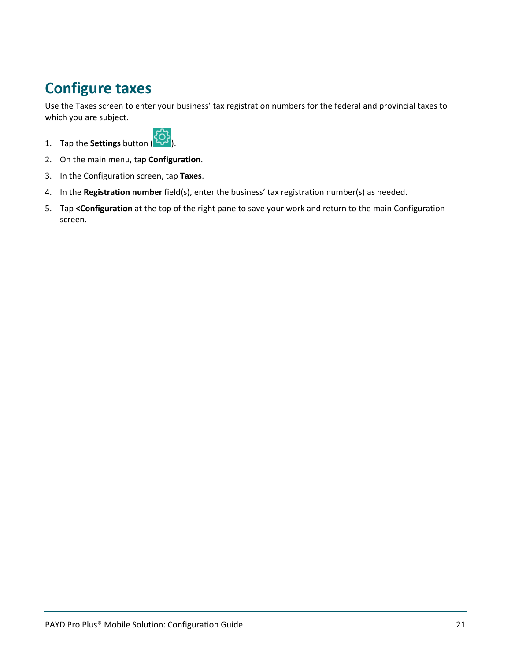## <span id="page-22-0"></span>**Configure taxes**

Use the Taxes screen to enter your business' tax registration numbers for the federal and provincial taxes to which you are subject.



- 1. Tap the **Settings** button ( ).
- 2. On the main menu, tap **Configuration**.
- 3. In the Configuration screen, tap **Taxes**.
- 4. In the **Registration number** field(s), enter the business' tax registration number(s) as needed.
- 5. Tap **<Configuration** at the top of the right pane to save your work and return to the main Configuration screen.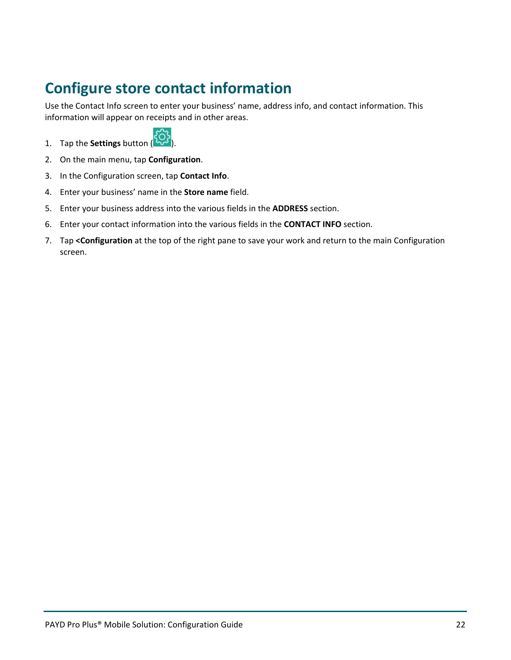## <span id="page-23-0"></span>**Configure store contact information**

Use the Contact Info screen to enter your business' name, address info, and contact information. This information will appear on receipts and in other areas.



- 1. Tap the **Settings** button ( ).
- 2. On the main menu, tap **Configuration**.
- 3. In the Configuration screen, tap **Contact Info**.
- 4. Enter your business' name in the **Store name** field.
- 5. Enter your business address into the various fields in the **ADDRESS** section.
- 6. Enter your contact information into the various fields in the **CONTACT INFO** section.
- 7. Tap **<Configuration** at the top of the right pane to save your work and return to the main Configuration screen.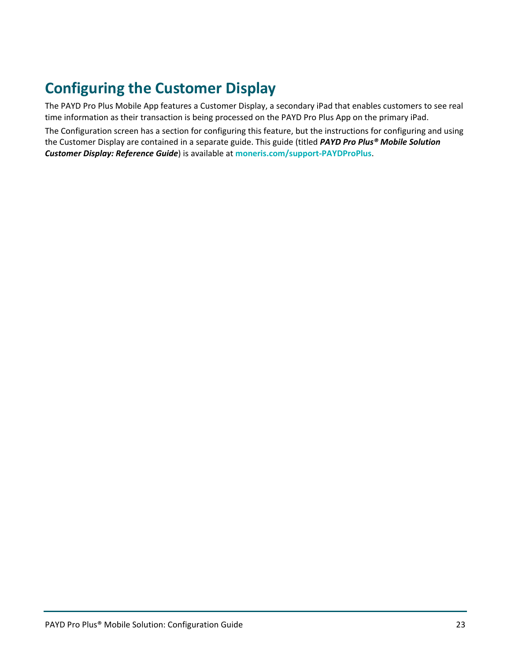## <span id="page-24-0"></span>**Configuring the Customer Display**

The PAYD Pro Plus Mobile App features a Customer Display, a secondary iPad that enables customers to see real time information as their transaction is being processed on the PAYD Pro Plus App on the primary iPad.

The Configuration screen has a section for configuring this feature, but the instructions for configuring and using the Customer Display are contained in a separate guide. This guide (titled *PAYD Pro Plus® Mobile Solution Customer Display: Reference Guide*) is available at **[moneris.com/support-PAYDProPlus](https://www.moneris.com/en/Support/Devices/PAYD-Pro-Plus)**.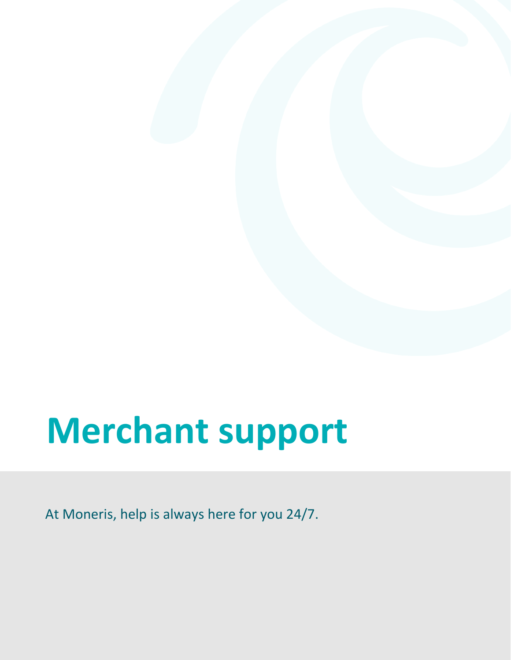## <span id="page-25-0"></span>**Merchant support**

At Moneris, help is always here for you 24/7.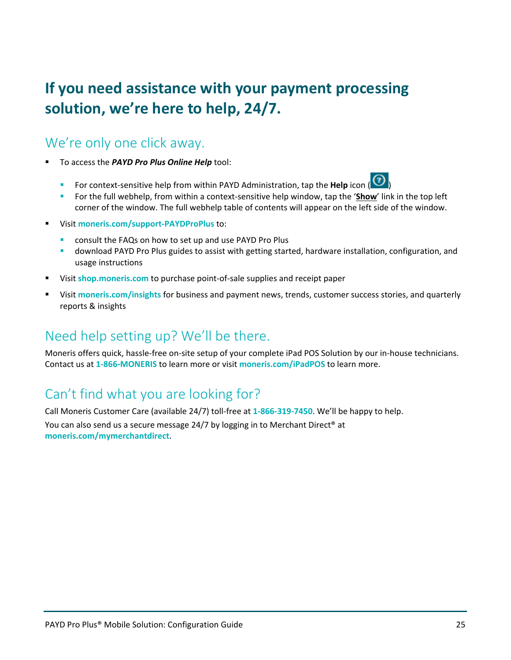## **If you need assistance with your payment processing solution, we're here to help, 24/7.**

## We're only one click away.

- To access the *PAYD Pro Plus Online Help* tool:
	- For context-sensitive help from within PAYD Administration, tap the **Help** icon ( )
	- For the full webhelp, from within a context-sensitive help window, tap the '**Show**' link in the top left corner of the window. The full webhelp table of contents will appear on the left side of the window.
- Visit **[moneris.com/support-PAYDProPlus](https://www.moneris.com/en/support/devices/payd-pro-plus/)** to:
	- consult the FAQs on how to set up and use PAYD Pro Plus
	- download PAYD Pro Plus guides to assist with getting started, hardware installation, configuration, and usage instructions
- Visit **[shop.moneris.com](https://shop.moneris.com/)** to purchase point-of-sale supplies and receipt paper
- Visit **[moneris.com/insights](https://moneris.com/insights)** for business and payment news, trends, customer success stories, and quarterly reports & insights

## Need help setting up? We'll be there.

Moneris offers quick, hassle-free on-site setup of your complete iPad POS Solution by our in-house technicians. Contact us at **1-866-MONERIS** to learn more or visit **[moneris.com/iPadPOS](https://www.moneris.com/en/Products-Services/Mobile-Tablet/iPad-POS-Solutions)** to learn more.

## Can't find what you are looking for?

Call Moneris Customer Care (available 24/7) toll-free at **1-866-319-7450**. We'll be happy to help.

You can also send us a secure message 24/7 by logging in to Merchant Direct® at **[moneris.com/mymerchantdirect](https://moneris.com/mymerchantdirect)**.